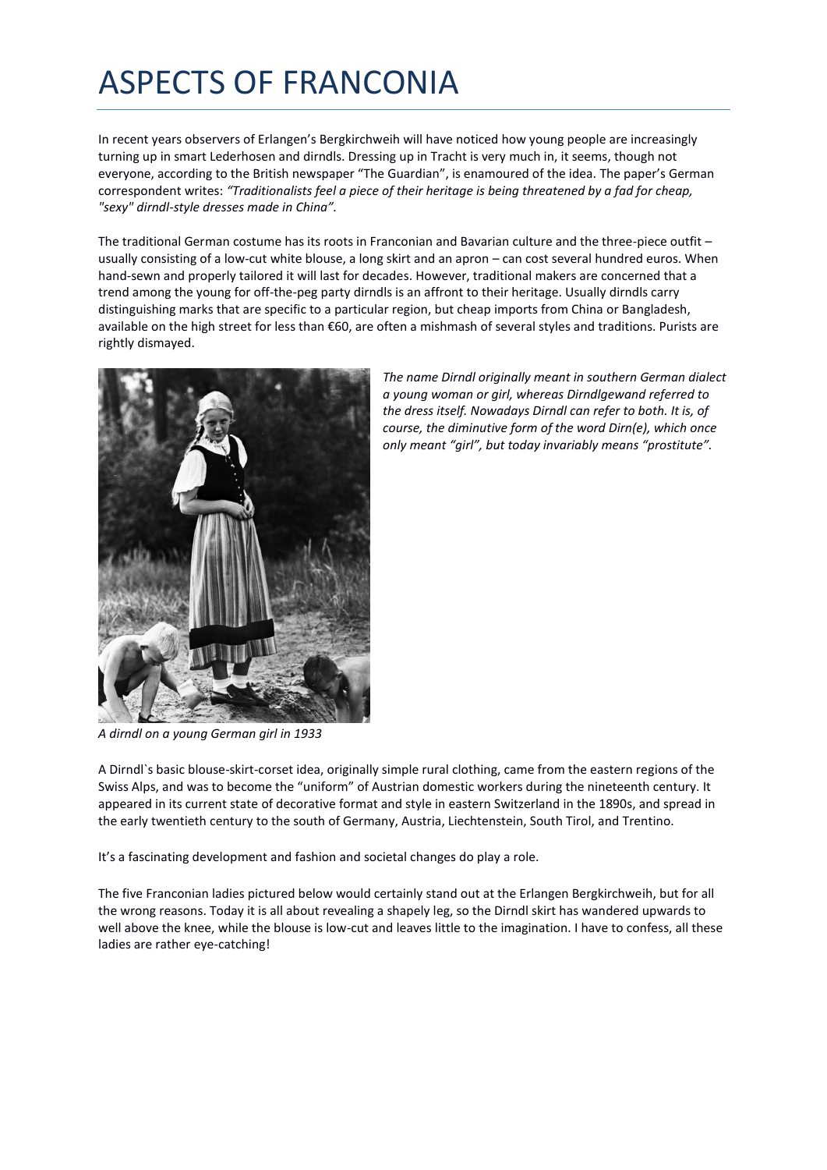## ASPECTS OF FRANCONIA

In recent years observers of Erlangen's Bergkirchweih will have noticed how young people are increasingly turning up in smart Lederhosen and dirndls. Dressing up in Tracht is very much in, it seems, though not everyone, according to the British newspaper "The Guardian", is enamoured of the idea. The paper's German correspondent writes: *"Traditionalists feel a piece of their heritage is being threatened by a fad for cheap, "sexy" dirndl-style dresses made in China".*

The traditional German costume has its roots in Franconian and Bavarian culture and the three-piece outfit – usually consisting of a low-cut white blouse, a long skirt and an apron – can cost several hundred euros. When hand-sewn and properly tailored it will last for decades. However, traditional makers are concerned that a trend among the young for off-the-peg party dirndls is an affront to their heritage. Usually dirndls carry distinguishing marks that are specific to a particular region, but cheap imports from China or Bangladesh, available on the high street for less than €60, are often a mishmash of several styles and traditions. Purists are rightly dismayed.



*The name Dirndl originally meant in southern German dialect a young woman or girl, whereas Dirndlgewand referred to the dress itself. Nowadays Dirndl can refer to both. It is, of course, the diminutive form of the word Dirn(e), which once only meant "girl", but today invariably means "prostitute".* 

*A dirndl on a young German girl in 1933*

A Dirndl`s basic blouse-skirt-corset idea, originally simple rural clothing, came from the eastern regions of the Swiss Alps, and was to become the "uniform" of Austrian domestic workers during the nineteenth century. It appeared in its current state of decorative format and style in eastern Switzerland in the 1890s, and spread in the early twentieth century to the south of Germany, Austria, Liechtenstein, South Tirol, and Trentino.

It's a fascinating development and fashion and societal changes do play a role.

The five Franconian ladies pictured below would certainly stand out at the Erlangen Bergkirchweih, but for all the wrong reasons. Today it is all about revealing a shapely leg, so the Dirndl skirt has wandered upwards to well above the knee, while the blouse is low-cut and leaves little to the imagination. I have to confess, all these ladies are rather eye-catching!